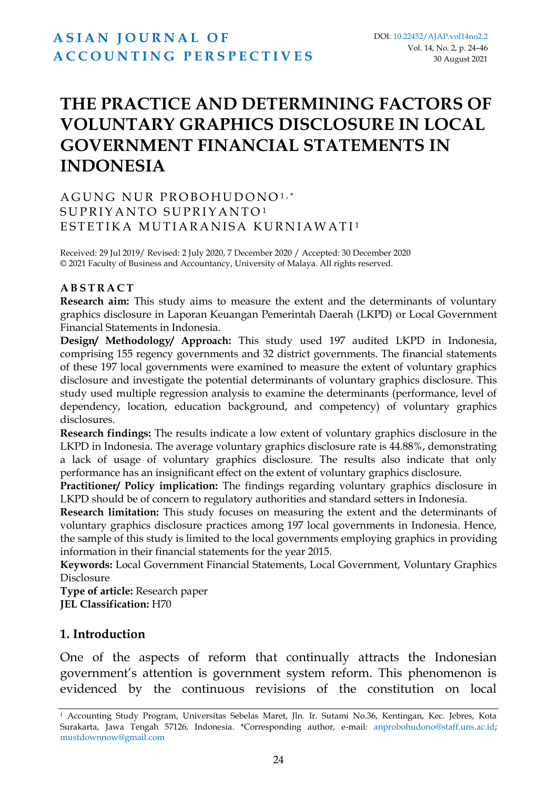# **THE PRACTICE AND DETERMINING FACTORS OF VOLUNTARY GRAPHICS DISCLOSURE IN LOCAL GOVERNMENT FINANCIAL STATEMENTS IN INDONESIA**

#### AGUNG NUR PROBOHUDONO1,\* SUPRIYANTO SUPRIYANTO<sup>1</sup> ESTETIKA MUTIARANISA KURNIAWATI<sup>1</sup>

Received: 29 Jul 2019/ Revised: 2 July 2020, 7 December 2020 / Accepted: 30 December 2020 © 2021 Faculty of Business and Accountancy, University of Malaya. All rights reserved.

#### **A B S T R A C T**

**Research aim:** This study aims to measure the extent and the determinants of voluntary graphics disclosure in Laporan Keuangan Pemerintah Daerah (LKPD) or Local Government Financial Statements in Indonesia.

**Design/ Methodology/ Approach:** This study used 197 audited LKPD in Indonesia, comprising 155 regency governments and 32 district governments. The financial statements of these 197 local governments were examined to measure the extent of voluntary graphics disclosure and investigate the potential determinants of voluntary graphics disclosure. This study used multiple regression analysis to examine the determinants (performance, level of dependency, location, education background, and competency) of voluntary graphics disclosures.

**Research findings:** The results indicate a low extent of voluntary graphics disclosure in the LKPD in Indonesia. The average voluntary graphics disclosure rate is 44.88%, demonstrating a lack of usage of voluntary graphics disclosure. The results also indicate that only performance has an insignificant effect on the extent of voluntary graphics disclosure.

**Practitioner/ Policy implication:** The findings regarding voluntary graphics disclosure in LKPD should be of concern to regulatory authorities and standard setters in Indonesia.

**Research limitation:** This study focuses on measuring the extent and the determinants of voluntary graphics disclosure practices among 197 local governments in Indonesia. Hence, the sample of this study is limited to the local governments employing graphics in providing information in their financial statements for the year 2015.

**Keywords:** Local Government Financial Statements, Local Government, Voluntary Graphics Disclosure

**Type of article:** Research paper **JEL Classification:** H70

#### **1. Introduction**

One of the aspects of reform that continually attracts the Indonesian government's attention is government system reform. This phenomenon is evidenced by the continuous revisions of the constitution on local

<sup>1</sup> Accounting Study Program, Universitas Sebelas Maret, Jln. Ir. Sutami No.36, Kentingan, Kec. Jebres, Kota Surakarta, Jawa Tengah 57126, Indonesia. \*Corresponding author, e-mail: [anprobohudono@staff.uns.ac.id;](mailto:anprobohudono@staff.uns.ac.id)  [mustdownnow@gmail.com](mailto:mustdownnow@gmail.com)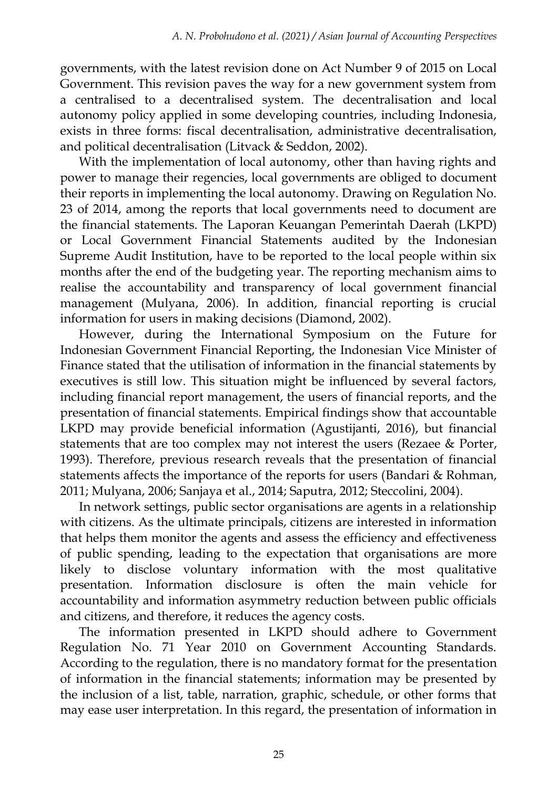governments, with the latest revision done on Act Number 9 of 2015 on Local Government. This revision paves the way for a new government system from a centralised to a decentralised system. The decentralisation and local autonomy policy applied in some developing countries, including Indonesia, exists in three forms: fiscal decentralisation, administrative decentralisation, and political decentralisation (Litvack & Seddon, 2002).

With the implementation of local autonomy, other than having rights and power to manage their regencies, local governments are obliged to document their reports in implementing the local autonomy. Drawing on Regulation No. 23 of 2014, among the reports that local governments need to document are the financial statements. The Laporan Keuangan Pemerintah Daerah (LKPD) or Local Government Financial Statements audited by the Indonesian Supreme Audit Institution, have to be reported to the local people within six months after the end of the budgeting year. The reporting mechanism aims to realise the accountability and transparency of local government financial management (Mulyana, 2006). In addition, financial reporting is crucial information for users in making decisions (Diamond, 2002).

However, during the International Symposium on the Future for Indonesian Government Financial Reporting, the Indonesian Vice Minister of Finance stated that the utilisation of information in the financial statements by executives is still low. This situation might be influenced by several factors, including financial report management, the users of financial reports, and the presentation of financial statements. Empirical findings show that accountable LKPD may provide beneficial information (Agustijanti, 2016), but financial statements that are too complex may not interest the users (Rezaee & Porter, 1993). Therefore, previous research reveals that the presentation of financial statements affects the importance of the reports for users (Bandari & Rohman, 2011; Mulyana, 2006; Sanjaya et al., 2014; Saputra, 2012; Steccolini, 2004).

In network settings, public sector organisations are agents in a relationship with citizens. As the ultimate principals, citizens are interested in information that helps them monitor the agents and assess the efficiency and effectiveness of public spending, leading to the expectation that organisations are more likely to disclose voluntary information with the most qualitative presentation. Information disclosure is often the main vehicle for accountability and information asymmetry reduction between public officials and citizens, and therefore, it reduces the agency costs.

The information presented in LKPD should adhere to Government Regulation No. 71 Year 2010 on Government Accounting Standards. According to the regulation, there is no mandatory format for the presentation of information in the financial statements; information may be presented by the inclusion of a list, table, narration, graphic, schedule, or other forms that may ease user interpretation. In this regard, the presentation of information in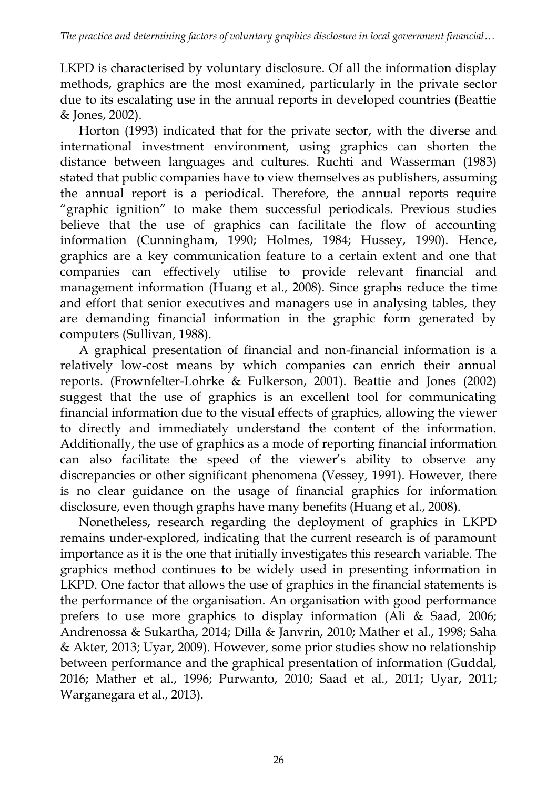LKPD is characterised by voluntary disclosure. Of all the information display methods, graphics are the most examined, particularly in the private sector due to its escalating use in the annual reports in developed countries (Beattie & Jones, 2002).

Horton (1993) indicated that for the private sector, with the diverse and international investment environment, using graphics can shorten the distance between languages and cultures. Ruchti and Wasserman (1983) stated that public companies have to view themselves as publishers, assuming the annual report is a periodical. Therefore, the annual reports require "graphic ignition" to make them successful periodicals. Previous studies believe that the use of graphics can facilitate the flow of accounting information (Cunningham, 1990; Holmes, 1984; Hussey, 1990). Hence, graphics are a key communication feature to a certain extent and one that companies can effectively utilise to provide relevant financial and management information (Huang et al., 2008). Since graphs reduce the time and effort that senior executives and managers use in analysing tables, they are demanding financial information in the graphic form generated by computers (Sullivan, 1988).

A graphical presentation of financial and non-financial information is a relatively low-cost means by which companies can enrich their annual reports. (Frownfelter-Lohrke & Fulkerson, 2001). Beattie and Jones (2002) suggest that the use of graphics is an excellent tool for communicating financial information due to the visual effects of graphics, allowing the viewer to directly and immediately understand the content of the information. Additionally, the use of graphics as a mode of reporting financial information can also facilitate the speed of the viewer's ability to observe any discrepancies or other significant phenomena (Vessey, 1991). However, there is no clear guidance on the usage of financial graphics for information disclosure, even though graphs have many benefits (Huang et al., 2008).

Nonetheless, research regarding the deployment of graphics in LKPD remains under-explored, indicating that the current research is of paramount importance as it is the one that initially investigates this research variable. The graphics method continues to be widely used in presenting information in LKPD. One factor that allows the use of graphics in the financial statements is the performance of the organisation. An organisation with good performance prefers to use more graphics to display information (Ali & Saad, 2006; Andrenossa & Sukartha, 2014; Dilla & Janvrin, 2010; Mather et al., 1998; Saha & Akter, 2013; Uyar, 2009). However, some prior studies show no relationship between performance and the graphical presentation of information (Guddal, 2016; Mather et al., 1996; Purwanto, 2010; Saad et al., 2011; Uyar, 2011; Warganegara et al., 2013).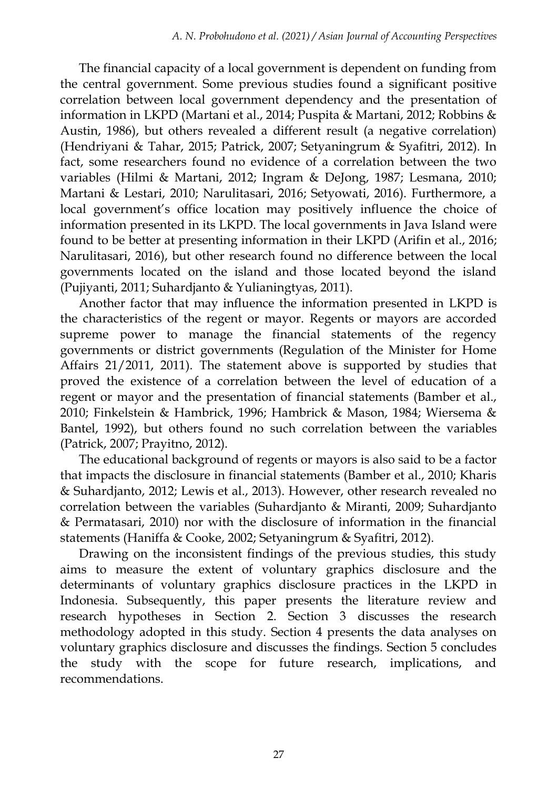The financial capacity of a local government is dependent on funding from the central government. Some previous studies found a significant positive correlation between local government dependency and the presentation of information in LKPD (Martani et al., 2014; Puspita & Martani, 2012; Robbins & Austin, 1986), but others revealed a different result (a negative correlation) (Hendriyani & Tahar, 2015; Patrick, 2007; Setyaningrum & Syafitri, 2012). In fact, some researchers found no evidence of a correlation between the two variables (Hilmi & Martani, 2012; Ingram & DeJong, 1987; Lesmana, 2010; Martani & Lestari, 2010; Narulitasari, 2016; Setyowati, 2016). Furthermore, a local government's office location may positively influence the choice of information presented in its LKPD. The local governments in Java Island were found to be better at presenting information in their LKPD (Arifin et al., 2016; Narulitasari, 2016), but other research found no difference between the local governments located on the island and those located beyond the island (Pujiyanti, 2011; Suhardjanto & Yulianingtyas, 2011).

Another factor that may influence the information presented in LKPD is the characteristics of the regent or mayor. Regents or mayors are accorded supreme power to manage the financial statements of the regency governments or district governments (Regulation of the Minister for Home Affairs 21/2011, 2011). The statement above is supported by studies that proved the existence of a correlation between the level of education of a regent or mayor and the presentation of financial statements (Bamber et al., 2010; Finkelstein & Hambrick, 1996; Hambrick & Mason, 1984; Wiersema & Bantel, 1992), but others found no such correlation between the variables (Patrick, 2007; Prayitno, 2012).

The educational background of regents or mayors is also said to be a factor that impacts the disclosure in financial statements (Bamber et al., 2010; Kharis & Suhardjanto, 2012; Lewis et al., 2013). However, other research revealed no correlation between the variables (Suhardjanto & Miranti, 2009; Suhardjanto & Permatasari, 2010) nor with the disclosure of information in the financial statements (Haniffa & Cooke, 2002; Setyaningrum & Syafitri, 2012).

Drawing on the inconsistent findings of the previous studies, this study aims to measure the extent of voluntary graphics disclosure and the determinants of voluntary graphics disclosure practices in the LKPD in Indonesia. Subsequently, this paper presents the literature review and research hypotheses in Section 2. Section 3 discusses the research methodology adopted in this study. Section 4 presents the data analyses on voluntary graphics disclosure and discusses the findings. Section 5 concludes the study with the scope for future research, implications, and recommendations.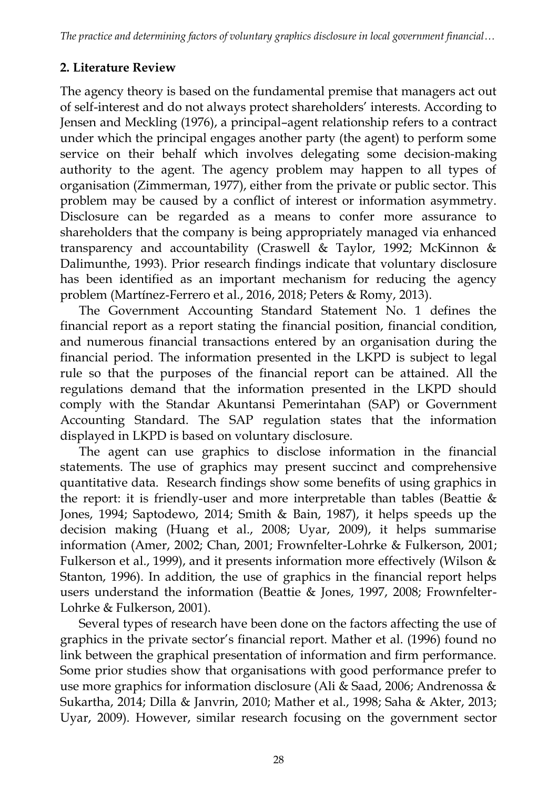## **2. Literature Review**

The agency theory is based on the fundamental premise that managers act out of self-interest and do not always protect shareholders' interests. According to Jensen and Meckling (1976), a principal–agent relationship refers to a contract under which the principal engages another party (the agent) to perform some service on their behalf which involves delegating some decision-making authority to the agent. The agency problem may happen to all types of organisation (Zimmerman, 1977), either from the private or public sector. This problem may be caused by a conflict of interest or information asymmetry. Disclosure can be regarded as a means to confer more assurance to shareholders that the company is being appropriately managed via enhanced transparency and accountability (Craswell & Taylor, 1992; McKinnon & Dalimunthe, 1993). Prior research findings indicate that voluntary disclosure has been identified as an important mechanism for reducing the agency problem (Martínez‐Ferrero et al., 2016, 2018; Peters & Romy, 2013).

The Government Accounting Standard Statement No. 1 defines the financial report as a report stating the financial position, financial condition, and numerous financial transactions entered by an organisation during the financial period. The information presented in the LKPD is subject to legal rule so that the purposes of the financial report can be attained. All the regulations demand that the information presented in the LKPD should comply with the Standar Akuntansi Pemerintahan (SAP) or Government Accounting Standard. The SAP regulation states that the information displayed in LKPD is based on voluntary disclosure.

The agent can use graphics to disclose information in the financial statements. The use of graphics may present succinct and comprehensive quantitative data. Research findings show some benefits of using graphics in the report: it is friendly-user and more interpretable than tables (Beattie & Jones, 1994; Saptodewo, 2014; Smith & Bain, 1987), it helps speeds up the decision making (Huang et al., 2008; Uyar, 2009), it helps summarise information (Amer, 2002; Chan, 2001; Frownfelter-Lohrke & Fulkerson, 2001; Fulkerson et al., 1999), and it presents information more effectively (Wilson & Stanton, 1996). In addition, the use of graphics in the financial report helps users understand the information (Beattie & Jones, 1997, 2008; Frownfelter-Lohrke & Fulkerson, 2001).

Several types of research have been done on the factors affecting the use of graphics in the private sector's financial report. Mather et al. (1996) found no link between the graphical presentation of information and firm performance. Some prior studies show that organisations with good performance prefer to use more graphics for information disclosure (Ali & Saad, 2006; Andrenossa & Sukartha, 2014; Dilla & Janvrin, 2010; Mather et al., 1998; Saha & Akter, 2013; Uyar, 2009). However, similar research focusing on the government sector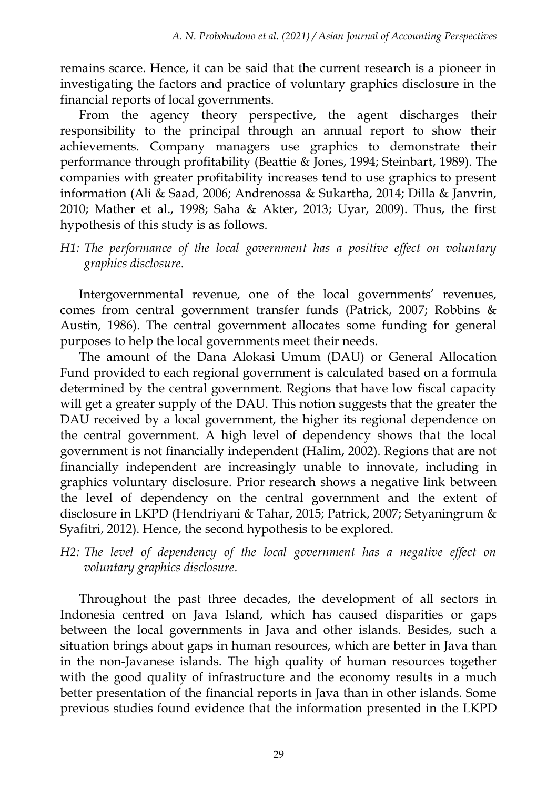remains scarce. Hence, it can be said that the current research is a pioneer in investigating the factors and practice of voluntary graphics disclosure in the financial reports of local governments.

From the agency theory perspective, the agent discharges their responsibility to the principal through an annual report to show their achievements. Company managers use graphics to demonstrate their performance through profitability (Beattie & Jones, 1994; Steinbart, 1989). The companies with greater profitability increases tend to use graphics to present information (Ali & Saad, 2006; Andrenossa & Sukartha, 2014; Dilla & Janvrin, 2010; Mather et al., 1998; Saha & Akter, 2013; Uyar, 2009). Thus, the first hypothesis of this study is as follows.

*H1: The performance of the local government has a positive effect on voluntary graphics disclosure.*

Intergovernmental revenue, one of the local governments' revenues, comes from central government transfer funds (Patrick, 2007; Robbins & Austin, 1986). The central government allocates some funding for general purposes to help the local governments meet their needs.

The amount of the Dana Alokasi Umum (DAU) or General Allocation Fund provided to each regional government is calculated based on a formula determined by the central government. Regions that have low fiscal capacity will get a greater supply of the DAU. This notion suggests that the greater the DAU received by a local government, the higher its regional dependence on the central government. A high level of dependency shows that the local government is not financially independent (Halim, 2002). Regions that are not financially independent are increasingly unable to innovate, including in graphics voluntary disclosure. Prior research shows a negative link between the level of dependency on the central government and the extent of disclosure in LKPD (Hendriyani & Tahar, 2015; Patrick, 2007; Setyaningrum & Syafitri, 2012). Hence, the second hypothesis to be explored.

*H2: The level of dependency of the local government has a negative effect on voluntary graphics disclosure.*

Throughout the past three decades, the development of all sectors in Indonesia centred on Java Island, which has caused disparities or gaps between the local governments in Java and other islands. Besides, such a situation brings about gaps in human resources, which are better in Java than in the non-Javanese islands. The high quality of human resources together with the good quality of infrastructure and the economy results in a much better presentation of the financial reports in Java than in other islands. Some previous studies found evidence that the information presented in the LKPD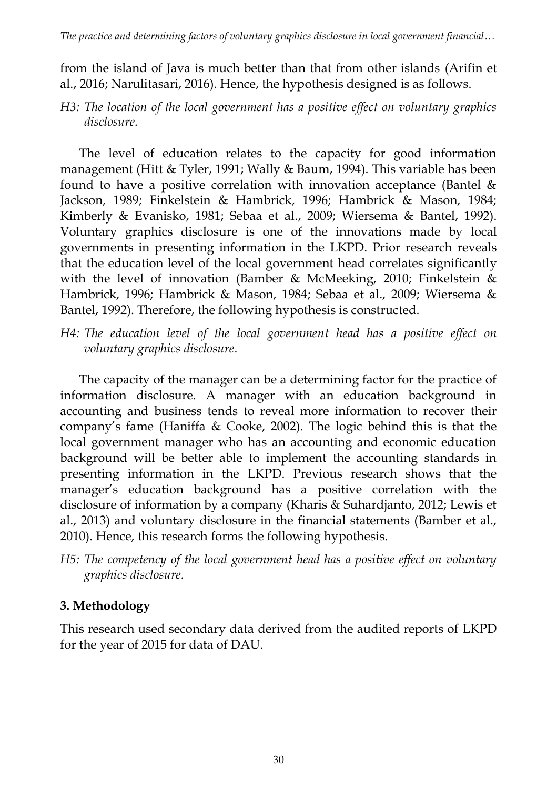from the island of Java is much better than that from other islands (Arifin et al., 2016; Narulitasari, 2016). Hence, the hypothesis designed is as follows.

*H3: The location of the local government has a positive effect on voluntary graphics disclosure.*

The level of education relates to the capacity for good information management (Hitt & Tyler, 1991; Wally & Baum, 1994). This variable has been found to have a positive correlation with innovation acceptance (Bantel & Jackson, 1989; Finkelstein & Hambrick, 1996; Hambrick & Mason, 1984; Kimberly & Evanisko, 1981; Sebaa et al., 2009; Wiersema & Bantel, 1992). Voluntary graphics disclosure is one of the innovations made by local governments in presenting information in the LKPD. Prior research reveals that the education level of the local government head correlates significantly with the level of innovation (Bamber & McMeeking, 2010; Finkelstein & Hambrick, 1996; Hambrick & Mason, 1984; Sebaa et al., 2009; Wiersema & Bantel, 1992). Therefore, the following hypothesis is constructed.

*H4: The education level of the local government head has a positive effect on voluntary graphics disclosure.*

The capacity of the manager can be a determining factor for the practice of information disclosure. A manager with an education background in accounting and business tends to reveal more information to recover their company's fame (Haniffa & Cooke, 2002). The logic behind this is that the local government manager who has an accounting and economic education background will be better able to implement the accounting standards in presenting information in the LKPD. Previous research shows that the manager's education background has a positive correlation with the disclosure of information by a company (Kharis & Suhardjanto, 2012; Lewis et al., 2013) and voluntary disclosure in the financial statements (Bamber et al., 2010). Hence, this research forms the following hypothesis.

*H5: The competency of the local government head has a positive effect on voluntary graphics disclosure.*

## **3. Methodology**

This research used secondary data derived from the audited reports of LKPD for the year of 2015 for data of DAU.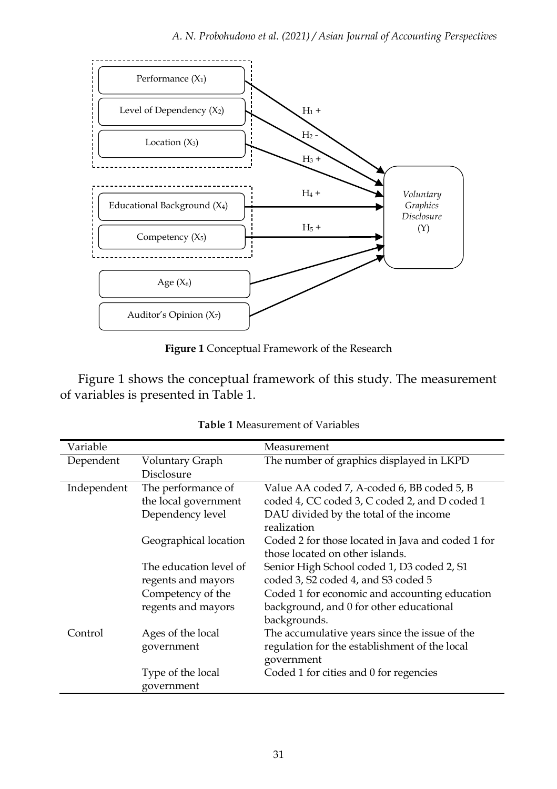

**Figure 1** Conceptual Framework of the Research

Figure 1 shows the conceptual framework of this study. The measurement of variables is presented in Table 1.

| Variable    |                                              |                                                                                                              |
|-------------|----------------------------------------------|--------------------------------------------------------------------------------------------------------------|
|             |                                              | Measurement                                                                                                  |
| Dependent   | Voluntary Graph                              | The number of graphics displayed in LKPD                                                                     |
|             | Disclosure                                   |                                                                                                              |
| Independent | The performance of                           | Value AA coded 7, A-coded 6, BB coded 5, B                                                                   |
|             | the local government                         | coded 4, CC coded 3, C coded 2, and D coded 1                                                                |
|             | Dependency level                             | DAU divided by the total of the income<br>realization                                                        |
|             | Geographical location                        | Coded 2 for those located in Java and coded 1 for<br>those located on other islands.                         |
|             | The education level of<br>regents and mayors | Senior High School coded 1, D3 coded 2, S1<br>coded 3, S2 coded 4, and S3 coded 5                            |
|             | Competency of the<br>regents and mayors      | Coded 1 for economic and accounting education<br>background, and 0 for other educational<br>backgrounds.     |
| Control     | Ages of the local<br>government              | The accumulative years since the issue of the<br>regulation for the establishment of the local<br>government |
|             | Type of the local<br>government              | Coded 1 for cities and 0 for regencies                                                                       |

| <b>Table 1</b> Measurement of Variables |  |  |
|-----------------------------------------|--|--|
|-----------------------------------------|--|--|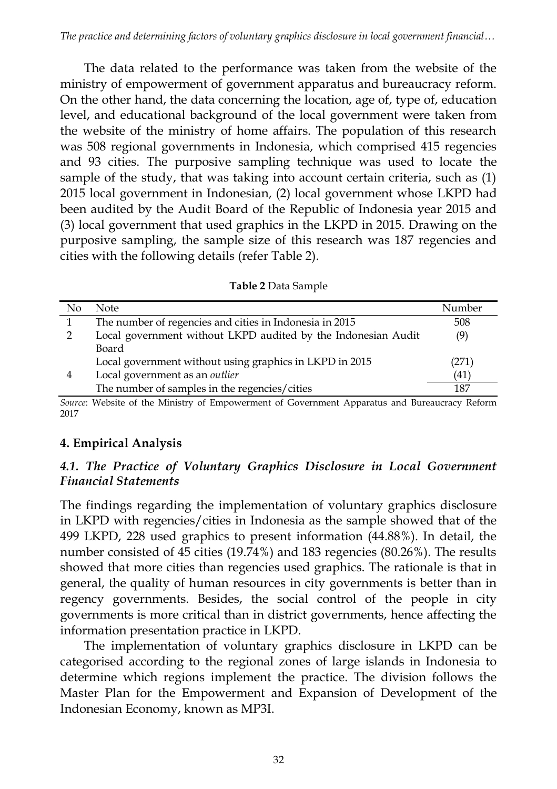The data related to the performance was taken from the website of the ministry of empowerment of government apparatus and bureaucracy reform. On the other hand, the data concerning the location, age of, type of, education level, and educational background of the local government were taken from the website of the ministry of home affairs. The population of this research was 508 regional governments in Indonesia, which comprised 415 regencies and 93 cities. The purposive sampling technique was used to locate the sample of the study, that was taking into account certain criteria, such as (1) 2015 local government in Indonesian, (2) local government whose LKPD had been audited by the Audit Board of the Republic of Indonesia year 2015 and (3) local government that used graphics in the LKPD in 2015. Drawing on the purposive sampling, the sample size of this research was 187 regencies and cities with the following details (refer Table 2).

| <b>Table 2 Data Sample</b> |
|----------------------------|
|----------------------------|

| No | Note                                                          | Number |
|----|---------------------------------------------------------------|--------|
|    | The number of regencies and cities in Indonesia in 2015       | 508    |
|    | Local government without LKPD audited by the Indonesian Audit | (9)    |
|    | Board                                                         |        |
|    | Local government without using graphics in LKPD in 2015       | (271)  |
| 4  | Local government as an <i>outlier</i>                         | (41)   |
|    | The number of samples in the regencies/cities                 | 187    |

*Source*: Website of the Ministry of Empowerment of Government Apparatus and Bureaucracy Reform 2017

## **4. Empirical Analysis**

## *4.1. The Practice of Voluntary Graphics Disclosure in Local Government Financial Statements*

The findings regarding the implementation of voluntary graphics disclosure in LKPD with regencies/cities in Indonesia as the sample showed that of the 499 LKPD, 228 used graphics to present information (44.88%). In detail, the number consisted of 45 cities (19.74%) and 183 regencies (80.26%). The results showed that more cities than regencies used graphics. The rationale is that in general, the quality of human resources in city governments is better than in regency governments. Besides, the social control of the people in city governments is more critical than in district governments, hence affecting the information presentation practice in LKPD.

The implementation of voluntary graphics disclosure in LKPD can be categorised according to the regional zones of large islands in Indonesia to determine which regions implement the practice. The division follows the Master Plan for the Empowerment and Expansion of Development of the Indonesian Economy, known as MP3I.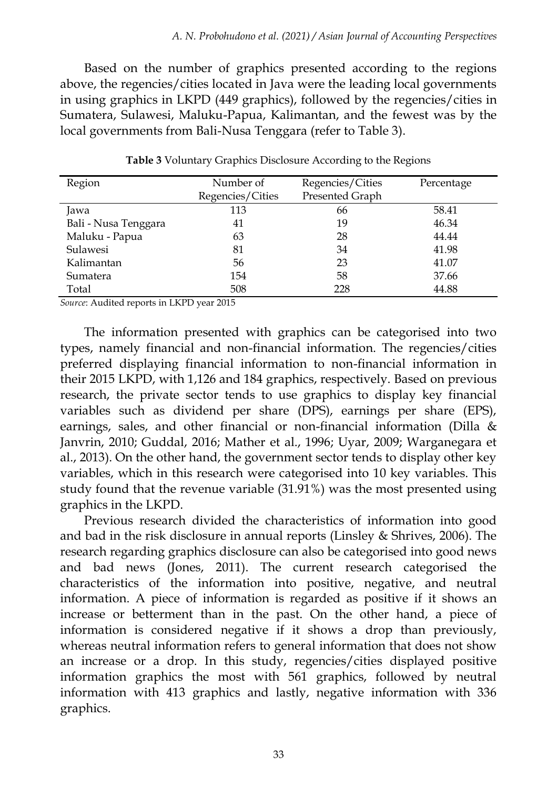Based on the number of graphics presented according to the regions above, the regencies/cities located in Java were the leading local governments in using graphics in LKPD (449 graphics), followed by the regencies/cities in Sumatera, Sulawesi, Maluku-Papua, Kalimantan, and the fewest was by the local governments from Bali-Nusa Tenggara (refer to Table 3).

| Region               | Number of        | Regencies/Cities | Percentage |
|----------------------|------------------|------------------|------------|
|                      | Regencies/Cities | Presented Graph  |            |
| Jawa                 | 113              | 66               | 58.41      |
| Bali - Nusa Tenggara | 41               | 19               | 46.34      |
| Maluku - Papua       | 63               | 28               | 44.44      |
| Sulawesi             | 81               | 34               | 41.98      |
| Kalimantan           | 56               | 23               | 41.07      |
| Sumatera             | 154              | 58               | 37.66      |
| Total                | 508              | 228              | 44.88      |

**Table 3** Voluntary Graphics Disclosure According to the Regions

*Source*: Audited reports in LKPD year 2015

The information presented with graphics can be categorised into two types, namely financial and non-financial information. The regencies/cities preferred displaying financial information to non-financial information in their 2015 LKPD, with 1,126 and 184 graphics, respectively. Based on previous research, the private sector tends to use graphics to display key financial variables such as dividend per share (DPS), earnings per share (EPS), earnings, sales, and other financial or non-financial information (Dilla & Janvrin, 2010; Guddal, 2016; Mather et al., 1996; Uyar, 2009; Warganegara et al., 2013). On the other hand, the government sector tends to display other key variables, which in this research were categorised into 10 key variables. This study found that the revenue variable (31.91%) was the most presented using graphics in the LKPD.

Previous research divided the characteristics of information into good and bad in the risk disclosure in annual reports (Linsley & Shrives, 2006). The research regarding graphics disclosure can also be categorised into good news and bad news (Jones, 2011). The current research categorised the characteristics of the information into positive, negative, and neutral information. A piece of information is regarded as positive if it shows an increase or betterment than in the past. On the other hand, a piece of information is considered negative if it shows a drop than previously, whereas neutral information refers to general information that does not show an increase or a drop. In this study, regencies/cities displayed positive information graphics the most with 561 graphics, followed by neutral information with 413 graphics and lastly, negative information with 336 graphics.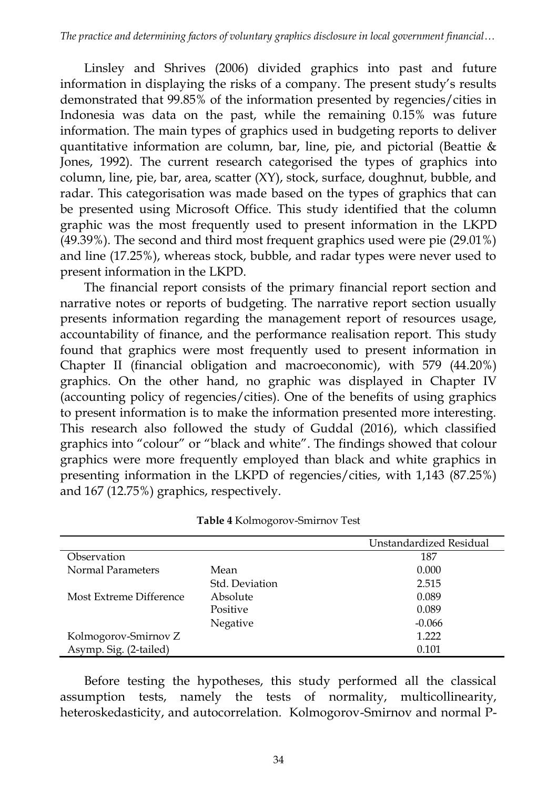Linsley and Shrives (2006) divided graphics into past and future information in displaying the risks of a company. The present study's results demonstrated that 99.85% of the information presented by regencies/cities in Indonesia was data on the past, while the remaining 0.15% was future information. The main types of graphics used in budgeting reports to deliver quantitative information are column, bar, line, pie, and pictorial (Beattie & Jones, 1992). The current research categorised the types of graphics into column, line, pie, bar, area, scatter (XY), stock, surface, doughnut, bubble, and radar. This categorisation was made based on the types of graphics that can be presented using Microsoft Office. This study identified that the column graphic was the most frequently used to present information in the LKPD (49.39%). The second and third most frequent graphics used were pie (29.01%) and line (17.25%), whereas stock, bubble, and radar types were never used to present information in the LKPD.

The financial report consists of the primary financial report section and narrative notes or reports of budgeting. The narrative report section usually presents information regarding the management report of resources usage, accountability of finance, and the performance realisation report. This study found that graphics were most frequently used to present information in Chapter II (financial obligation and macroeconomic), with 579 (44.20%) graphics. On the other hand, no graphic was displayed in Chapter IV (accounting policy of regencies/cities). One of the benefits of using graphics to present information is to make the information presented more interesting. This research also followed the study of Guddal (2016), which classified graphics into "colour" or "black and white". The findings showed that colour graphics were more frequently employed than black and white graphics in presenting information in the LKPD of regencies/cities, with 1,143 (87.25%) and 167 (12.75%) graphics, respectively.

|                         |                | Unstandardized Residual |
|-------------------------|----------------|-------------------------|
| Observation             |                | 187                     |
| Normal Parameters       | Mean           | 0.000                   |
|                         | Std. Deviation | 2.515                   |
| Most Extreme Difference | Absolute       | 0.089                   |
|                         | Positive       | 0.089                   |
|                         | Negative       | $-0.066$                |
| Kolmogorov-Smirnov Z    |                | 1.222                   |
| Asymp. Sig. (2-tailed)  |                | 0.101                   |

**Table 4** Kolmogorov-Smirnov Test

Before testing the hypotheses, this study performed all the classical assumption tests, namely the tests of normality, multicollinearity, heteroskedasticity, and autocorrelation. Kolmogorov-Smirnov and normal P-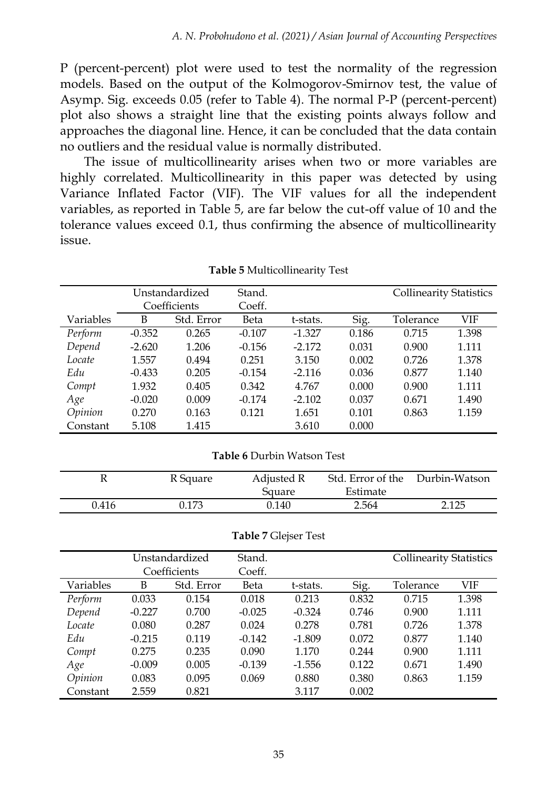P (percent-percent) plot were used to test the normality of the regression models. Based on the output of the Kolmogorov-Smirnov test, the value of Asymp. Sig. exceeds 0.05 (refer to Table 4). The normal P-P (percent-percent) plot also shows a straight line that the existing points always follow and approaches the diagonal line. Hence, it can be concluded that the data contain no outliers and the residual value is normally distributed.

The issue of multicollinearity arises when two or more variables are highly correlated. Multicollinearity in this paper was detected by using Variance Inflated Factor (VIF). The VIF values for all the independent variables, as reported in Table 5, are far below the cut-off value of 10 and the tolerance values exceed 0.1, thus confirming the absence of multicollinearity issue.

|           |          | Unstandardized<br>Coefficients | Stand.<br>Coeff. |          |       | <b>Collinearity Statistics</b> |       |
|-----------|----------|--------------------------------|------------------|----------|-------|--------------------------------|-------|
| Variables | B        | Std. Error                     | Beta             | t-stats. | Sig.  | Tolerance                      | VIF   |
| Perform   | $-0.352$ | 0.265                          | $-0.107$         | $-1.327$ | 0.186 | 0.715                          | 1.398 |
| Depend    | $-2.620$ | 1.206                          | $-0.156$         | $-2.172$ | 0.031 | 0.900                          | 1.111 |
| Locate    | 1.557    | 0.494                          | 0.251            | 3.150    | 0.002 | 0.726                          | 1.378 |
| Edu       | $-0.433$ | 0.205                          | $-0.154$         | $-2.116$ | 0.036 | 0.877                          | 1.140 |
| Compt     | 1.932    | 0.405                          | 0.342            | 4.767    | 0.000 | 0.900                          | 1.111 |
| Age       | $-0.020$ | 0.009                          | $-0.174$         | $-2.102$ | 0.037 | 0.671                          | 1.490 |
| Opinion   | 0.270    | 0.163                          | 0.121            | 1.651    | 0.101 | 0.863                          | 1.159 |
| Constant  | 5.108    | 1.415                          |                  | 3.610    | 0.000 |                                |       |

**Table 5** Multicollinearity Test

| <b>Table 6 Durbin Watson Test</b> |  |
|-----------------------------------|--|
|-----------------------------------|--|

|       | R Square | Adjusted R<br>Square | Std. Error of the<br>Estimate | Durbin-Watson |
|-------|----------|----------------------|-------------------------------|---------------|
| 0.416 | 0.173    | 0.140                | 2.564                         | 2.125         |

| Table 7 Glejser Test |  |
|----------------------|--|
|----------------------|--|

|           |          | Unstandardized | Stand.   |          |       | <b>Collinearity Statistics</b> |       |
|-----------|----------|----------------|----------|----------|-------|--------------------------------|-------|
|           |          | Coefficients   | Coeff.   |          |       |                                |       |
| Variables | B        | Std. Error     | Beta     | t-stats. | Sig.  | Tolerance                      | VIF   |
| Perform   | 0.033    | 0.154          | 0.018    | 0.213    | 0.832 | 0.715                          | 1.398 |
| Depend    | $-0.227$ | 0.700          | $-0.025$ | $-0.324$ | 0.746 | 0.900                          | 1.111 |
| Locate    | 0.080    | 0.287          | 0.024    | 0.278    | 0.781 | 0.726                          | 1.378 |
| Edu       | $-0.215$ | 0.119          | $-0.142$ | $-1.809$ | 0.072 | 0.877                          | 1.140 |
| Compt     | 0.275    | 0.235          | 0.090    | 1.170    | 0.244 | 0.900                          | 1.111 |
| Age       | $-0.009$ | 0.005          | $-0.139$ | $-1.556$ | 0.122 | 0.671                          | 1.490 |
| Opinion   | 0.083    | 0.095          | 0.069    | 0.880    | 0.380 | 0.863                          | 1.159 |
| Constant  | 2.559    | 0.821          |          | 3.117    | 0.002 |                                |       |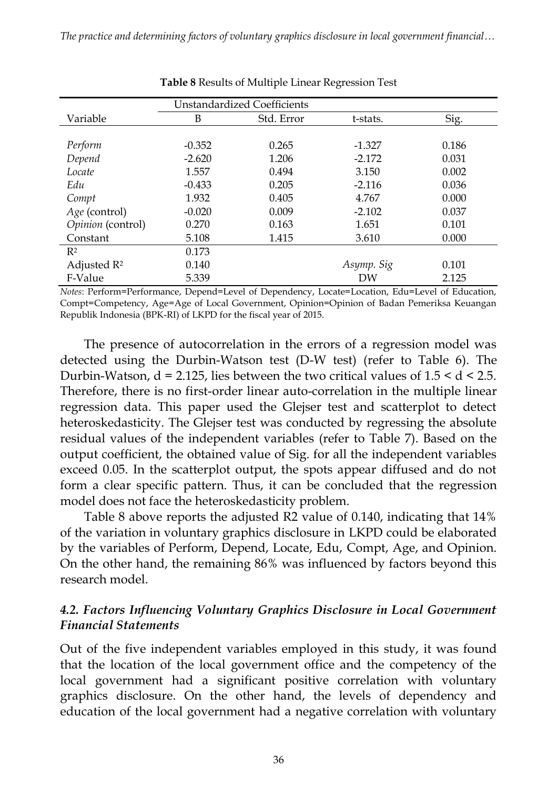| Unstandardized Coefficients |          |            |            |       |  |  |  |
|-----------------------------|----------|------------|------------|-------|--|--|--|
| Variable                    | B        | Std. Error | t-stats.   | Sig.  |  |  |  |
|                             |          |            |            |       |  |  |  |
| Perform                     | $-0.352$ | 0.265      | $-1.327$   | 0.186 |  |  |  |
| Depend                      | $-2.620$ | 1.206      | $-2.172$   | 0.031 |  |  |  |
| Locate                      | 1.557    | 0.494      | 3.150      | 0.002 |  |  |  |
| Edu                         | $-0.433$ | 0.205      | $-2.116$   | 0.036 |  |  |  |
| Compt                       | 1.932    | 0.405      | 4.767      | 0.000 |  |  |  |
| Age (control)               | $-0.020$ | 0.009      | $-2.102$   | 0.037 |  |  |  |
| Opinion (control)           | 0.270    | 0.163      | 1.651      | 0.101 |  |  |  |
| Constant                    | 5.108    | 1.415      | 3.610      | 0.000 |  |  |  |
| R <sup>2</sup>              | 0.173    |            |            |       |  |  |  |
| Adjusted $R^2$              | 0.140    |            | Asymp. Sig | 0.101 |  |  |  |
| F-Value                     | 5.339    |            | DW         | 2.125 |  |  |  |

**Table 8** Results of Multiple Linear Regression Test

*Notes*: Perform=Performance, Depend=Level of Dependency, Locate=Location, Edu=Level of Education, Compt=Competency, Age=Age of Local Government, Opinion=Opinion of Badan Pemeriksa Keuangan Republik Indonesia (BPK-RI) of LKPD for the fiscal year of 2015.

The presence of autocorrelation in the errors of a regression model was detected using the Durbin-Watson test (D-W test) (refer to Table 6). The Durbin-Watson,  $d = 2.125$ , lies between the two critical values of  $1.5 \le d \le 2.5$ . Therefore, there is no first-order linear auto-correlation in the multiple linear regression data. This paper used the Glejser test and scatterplot to detect heteroskedasticity. The Glejser test was conducted by regressing the absolute residual values of the independent variables (refer to Table 7). Based on the output coefficient, the obtained value of Sig. for all the independent variables exceed 0.05. In the scatterplot output, the spots appear diffused and do not form a clear specific pattern. Thus, it can be concluded that the regression model does not face the heteroskedasticity problem.

Table 8 above reports the adjusted R2 value of 0.140, indicating that 14% of the variation in voluntary graphics disclosure in LKPD could be elaborated by the variables of Perform, Depend, Locate, Edu, Compt, Age, and Opinion. On the other hand, the remaining 86% was influenced by factors beyond this research model.

#### *4.2. Factors Influencing Voluntary Graphics Disclosure in Local Government Financial Statements*

Out of the five independent variables employed in this study, it was found that the location of the local government office and the competency of the local government had a significant positive correlation with voluntary graphics disclosure. On the other hand, the levels of dependency and education of the local government had a negative correlation with voluntary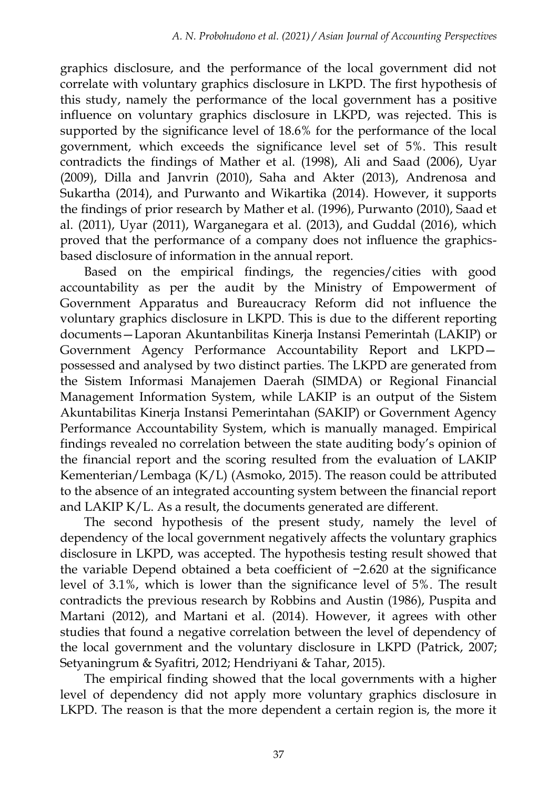graphics disclosure, and the performance of the local government did not correlate with voluntary graphics disclosure in LKPD. The first hypothesis of this study, namely the performance of the local government has a positive influence on voluntary graphics disclosure in LKPD, was rejected. This is supported by the significance level of 18.6% for the performance of the local government, which exceeds the significance level set of 5%. This result contradicts the findings of Mather et al. (1998), Ali and Saad (2006), Uyar (2009), Dilla and Janvrin (2010), Saha and Akter (2013), Andrenosa and Sukartha (2014), and Purwanto and Wikartika (2014). However, it supports the findings of prior research by Mather et al. (1996), Purwanto (2010), Saad et al. (2011), Uyar (2011), Warganegara et al. (2013), and Guddal (2016), which proved that the performance of a company does not influence the graphicsbased disclosure of information in the annual report.

Based on the empirical findings, the regencies/cities with good accountability as per the audit by the Ministry of Empowerment of Government Apparatus and Bureaucracy Reform did not influence the voluntary graphics disclosure in LKPD. This is due to the different reporting documents—Laporan Akuntanbilitas Kinerja Instansi Pemerintah (LAKIP) or Government Agency Performance Accountability Report and LKPD possessed and analysed by two distinct parties. The LKPD are generated from the Sistem Informasi Manajemen Daerah (SIMDA) or Regional Financial Management Information System, while LAKIP is an output of the Sistem Akuntabilitas Kinerja Instansi Pemerintahan (SAKIP) or Government Agency Performance Accountability System, which is manually managed. Empirical findings revealed no correlation between the state auditing body's opinion of the financial report and the scoring resulted from the evaluation of LAKIP Kementerian/Lembaga (K/L) (Asmoko, 2015). The reason could be attributed to the absence of an integrated accounting system between the financial report and LAKIP K/L. As a result, the documents generated are different.

The second hypothesis of the present study, namely the level of dependency of the local government negatively affects the voluntary graphics disclosure in LKPD, was accepted. The hypothesis testing result showed that the variable Depend obtained a beta coefficient of −2.620 at the significance level of 3.1%, which is lower than the significance level of 5%. The result contradicts the previous research by Robbins and Austin (1986), Puspita and Martani (2012), and Martani et al. (2014). However, it agrees with other studies that found a negative correlation between the level of dependency of the local government and the voluntary disclosure in LKPD (Patrick, 2007; Setyaningrum & Syafitri, 2012; Hendriyani & Tahar, 2015).

The empirical finding showed that the local governments with a higher level of dependency did not apply more voluntary graphics disclosure in LKPD. The reason is that the more dependent a certain region is, the more it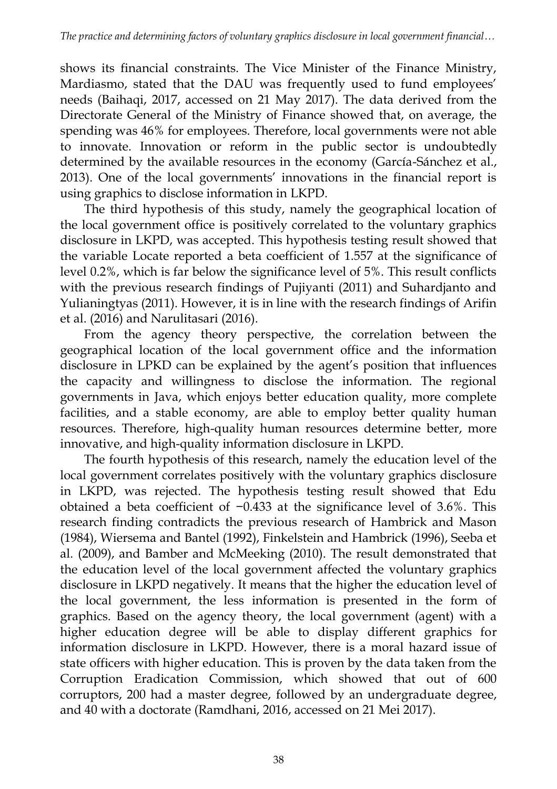shows its financial constraints. The Vice Minister of the Finance Ministry, Mardiasmo, stated that the DAU was frequently used to fund employees' needs (Baihaqi, 2017, accessed on 21 May 2017). The data derived from the Directorate General of the Ministry of Finance showed that, on average, the spending was 46% for employees. Therefore, local governments were not able to innovate. Innovation or reform in the public sector is undoubtedly determined by the available resources in the economy (García-Sánchez et al., 2013). One of the local governments' innovations in the financial report is using graphics to disclose information in LKPD.

The third hypothesis of this study, namely the geographical location of the local government office is positively correlated to the voluntary graphics disclosure in LKPD, was accepted. This hypothesis testing result showed that the variable Locate reported a beta coefficient of 1.557 at the significance of level 0.2%, which is far below the significance level of 5%. This result conflicts with the previous research findings of Pujiyanti (2011) and Suhardjanto and Yulianingtyas (2011). However, it is in line with the research findings of Arifin et al. (2016) and Narulitasari (2016).

From the agency theory perspective, the correlation between the geographical location of the local government office and the information disclosure in LPKD can be explained by the agent's position that influences the capacity and willingness to disclose the information. The regional governments in Java, which enjoys better education quality, more complete facilities, and a stable economy, are able to employ better quality human resources. Therefore, high-quality human resources determine better, more innovative, and high-quality information disclosure in LKPD.

The fourth hypothesis of this research, namely the education level of the local government correlates positively with the voluntary graphics disclosure in LKPD, was rejected. The hypothesis testing result showed that Edu obtained a beta coefficient of −0.433 at the significance level of 3.6%. This research finding contradicts the previous research of Hambrick and Mason (1984), Wiersema and Bantel (1992), Finkelstein and Hambrick (1996), Seeba et al. (2009), and Bamber and McMeeking (2010). The result demonstrated that the education level of the local government affected the voluntary graphics disclosure in LKPD negatively. It means that the higher the education level of the local government, the less information is presented in the form of graphics. Based on the agency theory, the local government (agent) with a higher education degree will be able to display different graphics for information disclosure in LKPD. However, there is a moral hazard issue of state officers with higher education. This is proven by the data taken from the Corruption Eradication Commission, which showed that out of 600 corruptors, 200 had a master degree, followed by an undergraduate degree, and 40 with a doctorate (Ramdhani, 2016, accessed on 21 Mei 2017).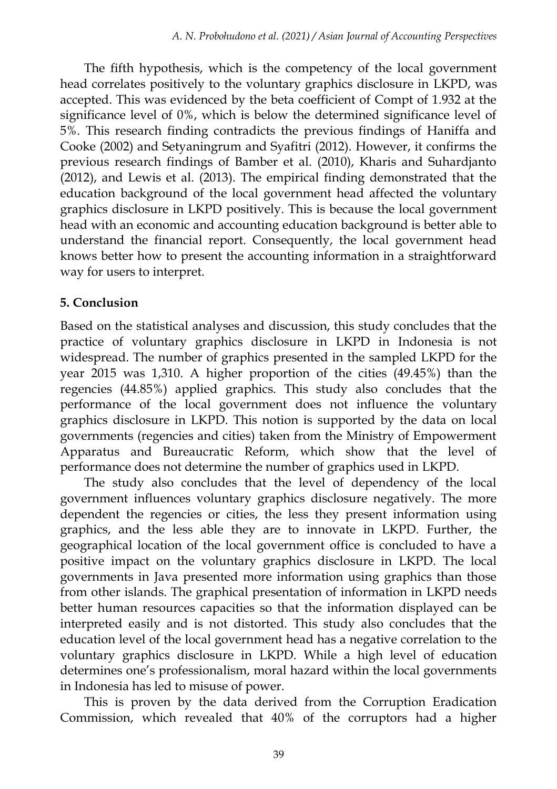The fifth hypothesis, which is the competency of the local government head correlates positively to the voluntary graphics disclosure in LKPD, was accepted. This was evidenced by the beta coefficient of Compt of 1.932 at the significance level of 0%, which is below the determined significance level of 5%. This research finding contradicts the previous findings of Haniffa and Cooke (2002) and Setyaningrum and Syafitri (2012). However, it confirms the previous research findings of Bamber et al. (2010), Kharis and Suhardjanto (2012), and Lewis et al. (2013). The empirical finding demonstrated that the education background of the local government head affected the voluntary graphics disclosure in LKPD positively. This is because the local government head with an economic and accounting education background is better able to understand the financial report. Consequently, the local government head knows better how to present the accounting information in a straightforward way for users to interpret.

#### **5. Conclusion**

Based on the statistical analyses and discussion, this study concludes that the practice of voluntary graphics disclosure in LKPD in Indonesia is not widespread. The number of graphics presented in the sampled LKPD for the year 2015 was 1,310. A higher proportion of the cities (49.45%) than the regencies (44.85%) applied graphics. This study also concludes that the performance of the local government does not influence the voluntary graphics disclosure in LKPD. This notion is supported by the data on local governments (regencies and cities) taken from the Ministry of Empowerment Apparatus and Bureaucratic Reform, which show that the level of performance does not determine the number of graphics used in LKPD.

The study also concludes that the level of dependency of the local government influences voluntary graphics disclosure negatively. The more dependent the regencies or cities, the less they present information using graphics, and the less able they are to innovate in LKPD. Further, the geographical location of the local government office is concluded to have a positive impact on the voluntary graphics disclosure in LKPD. The local governments in Java presented more information using graphics than those from other islands. The graphical presentation of information in LKPD needs better human resources capacities so that the information displayed can be interpreted easily and is not distorted. This study also concludes that the education level of the local government head has a negative correlation to the voluntary graphics disclosure in LKPD. While a high level of education determines one's professionalism, moral hazard within the local governments in Indonesia has led to misuse of power.

This is proven by the data derived from the Corruption Eradication Commission, which revealed that 40% of the corruptors had a higher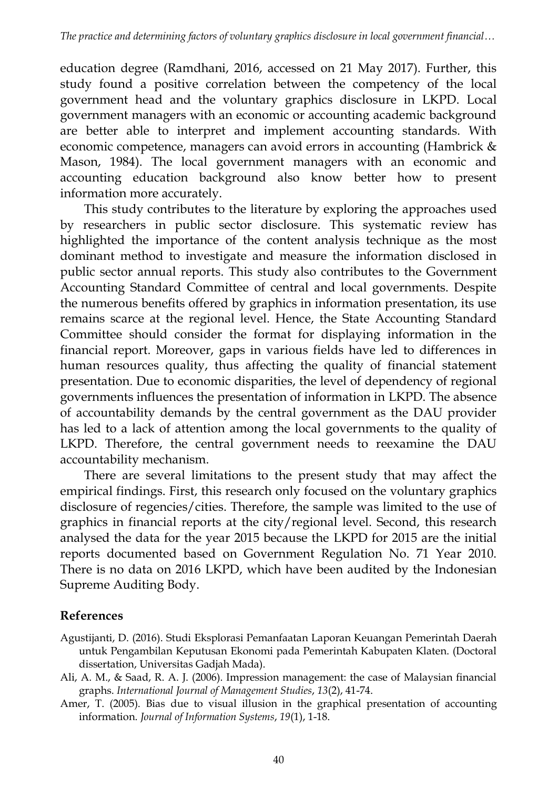education degree (Ramdhani, 2016, accessed on 21 May 2017). Further, this study found a positive correlation between the competency of the local government head and the voluntary graphics disclosure in LKPD. Local government managers with an economic or accounting academic background are better able to interpret and implement accounting standards. With economic competence, managers can avoid errors in accounting (Hambrick & Mason, 1984). The local government managers with an economic and accounting education background also know better how to present information more accurately.

This study contributes to the literature by exploring the approaches used by researchers in public sector disclosure. This systematic review has highlighted the importance of the content analysis technique as the most dominant method to investigate and measure the information disclosed in public sector annual reports. This study also contributes to the Government Accounting Standard Committee of central and local governments. Despite the numerous benefits offered by graphics in information presentation, its use remains scarce at the regional level. Hence, the State Accounting Standard Committee should consider the format for displaying information in the financial report. Moreover, gaps in various fields have led to differences in human resources quality, thus affecting the quality of financial statement presentation. Due to economic disparities, the level of dependency of regional governments influences the presentation of information in LKPD. The absence of accountability demands by the central government as the DAU provider has led to a lack of attention among the local governments to the quality of LKPD. Therefore, the central government needs to reexamine the DAU accountability mechanism.

There are several limitations to the present study that may affect the empirical findings. First, this research only focused on the voluntary graphics disclosure of regencies/cities. Therefore, the sample was limited to the use of graphics in financial reports at the city/regional level. Second, this research analysed the data for the year 2015 because the LKPD for 2015 are the initial reports documented based on Government Regulation No. 71 Year 2010. There is no data on 2016 LKPD, which have been audited by the Indonesian Supreme Auditing Body.

## **References**

- Agustijanti, D. (2016). Studi Eksplorasi Pemanfaatan Laporan Keuangan Pemerintah Daerah untuk Pengambilan Keputusan Ekonomi pada Pemerintah Kabupaten Klaten. (Doctoral dissertation, Universitas Gadjah Mada).
- Ali, A. M., & Saad, R. A. J. (2006). Impression management: the case of Malaysian financial graphs. *International Journal of Management Studies*, *13*(2), 41-74.
- Amer, T. (2005). Bias due to visual illusion in the graphical presentation of accounting information. *Journal of Information Systems*, *19*(1), 1-18.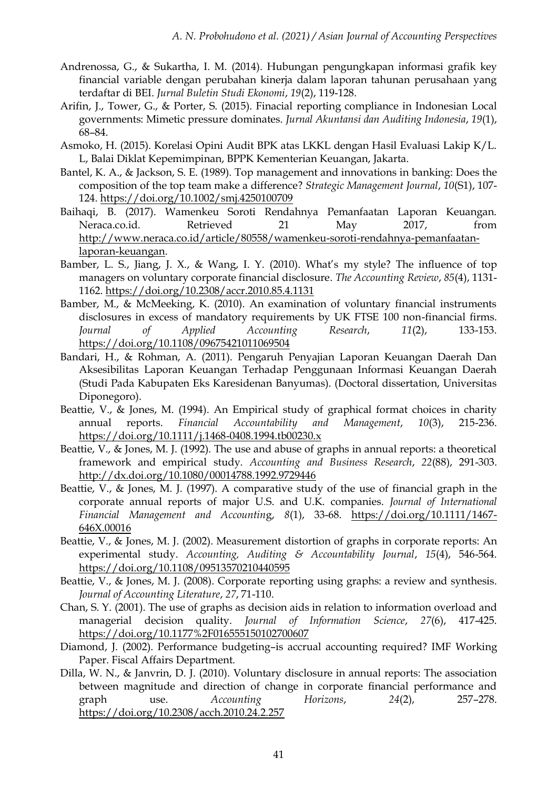- Andrenossa, G., & Sukartha, I. M. (2014). Hubungan pengungkapan informasi grafik key financial variable dengan perubahan kinerja dalam laporan tahunan perusahaan yang terdaftar di BEI. *Jurnal Buletin Studi Ekonomi*, *19*(2), 119-128.
- Arifin, J., Tower, G., & Porter, S. (2015). Finacial reporting compliance in Indonesian Local governments: Mimetic pressure dominates. *Jurnal Akuntansi dan Auditing Indonesia*, *19*(1), 68–84.
- Asmoko, H. (2015). Korelasi Opini Audit BPK atas LKKL dengan Hasil Evaluasi Lakip K/L. L, Balai Diklat Kepemimpinan, BPPK Kementerian Keuangan, Jakarta.
- Bantel, K. A., & Jackson, S. E. (1989). Top management and innovations in banking: Does the composition of the top team make a difference? *Strategic Management Journal*, *10*(S1), 107- 124[. https://doi.org/10.1002/smj.4250100709](https://doi.org/10.1002/smj.4250100709)
- Baihaqi, B. (2017). Wamenkeu Soroti Rendahnya Pemanfaatan Laporan Keuangan. Neraca.co.id. Retrieved 21 May 2017, from [http://www.neraca.co.id/article/80558/wamenkeu-soroti-rendahnya-pemanfaatan](http://www.neraca.co.id/article/80558/wamenkeu-soroti-rendahnya-pemanfaatan-laporan-keuangan)[laporan-keuangan.](http://www.neraca.co.id/article/80558/wamenkeu-soroti-rendahnya-pemanfaatan-laporan-keuangan)
- Bamber, L. S., Jiang, J. X., & Wang, I. Y. (2010). What's my style? The influence of top managers on voluntary corporate financial disclosure. *The Accounting Review*, *85*(4), 1131- 1162[. https://doi.org/10.2308/accr.2010.85.4.1131](https://doi.org/10.2308/accr.2010.85.4.1131)
- Bamber, M., & McMeeking, K. (2010). An examination of voluntary financial instruments disclosures in excess of mandatory requirements by UK FTSE 100 non-financial firms. *Journal of Applied Accounting Research*, *11*(2), 133-153. <https://doi.org/10.1108/09675421011069504>
- Bandari, H., & Rohman, A. (2011). Pengaruh Penyajian Laporan Keuangan Daerah Dan Aksesibilitas Laporan Keuangan Terhadap Penggunaan Informasi Keuangan Daerah (Studi Pada Kabupaten Eks Karesidenan Banyumas). (Doctoral dissertation, Universitas Diponegoro).
- Beattie, V., & Jones, M. (1994). An Empirical study of graphical format choices in charity annual reports. *Financial Accountability and Management*, *10*(3), 215-236. <https://doi.org/10.1111/j.1468-0408.1994.tb00230.x>
- Beattie, V., & Jones, M. J. (1992). The use and abuse of graphs in annual reports: a theoretical framework and empirical study. *Accounting and Business Research*, *22*(88), 291-303. <http://dx.doi.org/10.1080/00014788.1992.9729446>
- Beattie, V., & Jones, M. J. (1997). A comparative study of the use of financial graph in the corporate annual reports of major U.S. and U.K. companies. *Journal of International Financial Management and Accountin*g, *8*(1), 33-68. [https://doi.org/10.1111/1467-](https://doi.org/10.1111/1467-646X.00016) [646X.00016](https://doi.org/10.1111/1467-646X.00016)
- Beattie, V., & Jones, M. J. (2002). Measurement distortion of graphs in corporate reports: An experimental study. *Accounting, Auditing & Accountability Journal*, *15*(4), 546-564. <https://doi.org/10.1108/09513570210440595>
- Beattie, V., & Jones, M. J. (2008). Corporate reporting using graphs: a review and synthesis. *Journal of Accounting Literature*, *27*, 71-110.
- Chan, S. Y. (2001). The use of graphs as decision aids in relation to information overload and managerial decision quality. *Journal of Information Science*, *27*(6), 417-425. <https://doi.org/10.1177%2F016555150102700607>
- Diamond, J. (2002). Performance budgeting–is accrual accounting required? IMF Working Paper. Fiscal Affairs Department.
- Dilla, W. N., & Janvrin, D. J. (2010). Voluntary disclosure in annual reports: The association between magnitude and direction of change in corporate financial performance and graph use. *Accounting Horizons*, *24*(2), 257–278. <https://doi.org/10.2308/acch.2010.24.2.257>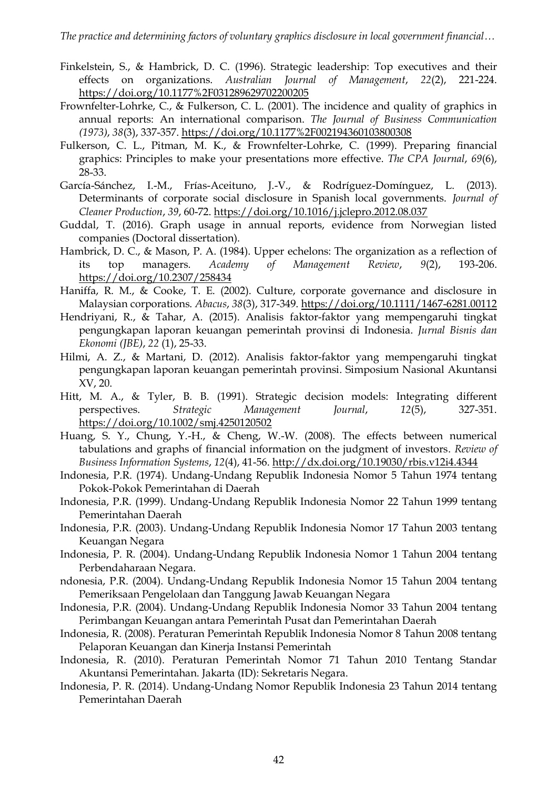- Finkelstein, S., & Hambrick, D. C. (1996). Strategic leadership: Top executives and their effects on organizations. *Australian Journal of Management*, *22*(2), 221-224. <https://doi.org/10.1177%2F031289629702200205>
- Frownfelter-Lohrke, C., & Fulkerson, C. L. (2001). The incidence and quality of graphics in annual reports: An international comparison. *The Journal of Business Communication (1973)*, *38*(3), 337-357[. https://doi.org/10.1177%2F002194360103800308](https://doi.org/10.1177%2F002194360103800308)
- Fulkerson, C. L., Pitman, M. K., & Frownfelter-Lohrke, C. (1999). Preparing financial graphics: Principles to make your presentations more effective. *The CPA Journal*, *69*(6), 28-33.
- García-Sánchez, I.-M., Frías-Aceituno, J.-V., & Rodríguez-Domínguez, L. (2013). Determinants of corporate social disclosure in Spanish local governments. *Journal of Cleaner Production*, *39*, 60-72[. https://doi.org/10.1016/j.jclepro.2012.08.037](https://doi.org/10.1016/j.jclepro.2012.08.037)

Guddal, T. (2016). Graph usage in annual reports, evidence from Norwegian listed companies (Doctoral dissertation).

- Hambrick, D. C., & Mason, P. A. (1984). Upper echelons: The organization as a reflection of its top managers. *Academy of Management Review*, *9*(2), 193-206. <https://doi.org/10.2307/258434>
- Haniffa, R. M., & Cooke, T. E. (2002). Culture, corporate governance and disclosure in Malaysian corporations. *Abacus*, *38*(3), 317-349. <https://doi.org/10.1111/1467-6281.00112>
- Hendriyani, R., & Tahar, A. (2015). Analisis faktor-faktor yang mempengaruhi tingkat pengungkapan laporan keuangan pemerintah provinsi di Indonesia. *Jurnal Bisnis dan Ekonomi (JBE)*, *22* (1), 25-33.
- Hilmi, A. Z., & Martani, D. (2012). Analisis faktor-faktor yang mempengaruhi tingkat pengungkapan laporan keuangan pemerintah provinsi. Simposium Nasional Akuntansi XV, 20.
- Hitt, M. A., & Tyler, B. B. (1991). Strategic decision models: Integrating different perspectives. *Strategic Management Journal*, *12*(5), 327-351. <https://doi.org/10.1002/smj.4250120502>
- Huang, S. Y., Chung, Y.-H., & Cheng, W.-W. (2008). The effects between numerical tabulations and graphs of financial information on the judgment of investors. *Review of Business Information Systems*, *12*(4), 41-56[. http://dx.doi.org/10.19030/rbis.v12i4.4344](http://dx.doi.org/10.19030/rbis.v12i4.4344)
- Indonesia, P.R. (1974). Undang-Undang Republik Indonesia Nomor 5 Tahun 1974 tentang Pokok-Pokok Pemerintahan di Daerah
- Indonesia, P.R. (1999). Undang-Undang Republik Indonesia Nomor 22 Tahun 1999 tentang Pemerintahan Daerah
- Indonesia, P.R. (2003). Undang-Undang Republik Indonesia Nomor 17 Tahun 2003 tentang Keuangan Negara
- Indonesia, P. R. (2004). Undang-Undang Republik Indonesia Nomor 1 Tahun 2004 tentang Perbendaharaan Negara.
- ndonesia, P.R. (2004). Undang-Undang Republik Indonesia Nomor 15 Tahun 2004 tentang Pemeriksaan Pengelolaan dan Tanggung Jawab Keuangan Negara
- Indonesia, P.R. (2004). Undang-Undang Republik Indonesia Nomor 33 Tahun 2004 tentang Perimbangan Keuangan antara Pemerintah Pusat dan Pemerintahan Daerah
- Indonesia, R. (2008). Peraturan Pemerintah Republik Indonesia Nomor 8 Tahun 2008 tentang Pelaporan Keuangan dan Kinerja Instansi Pemerintah
- Indonesia, R. (2010). Peraturan Pemerintah Nomor 71 Tahun 2010 Tentang Standar Akuntansi Pemerintahan. Jakarta (ID): Sekretaris Negara.
- Indonesia, P. R. (2014). Undang-Undang Nomor Republik Indonesia 23 Tahun 2014 tentang Pemerintahan Daerah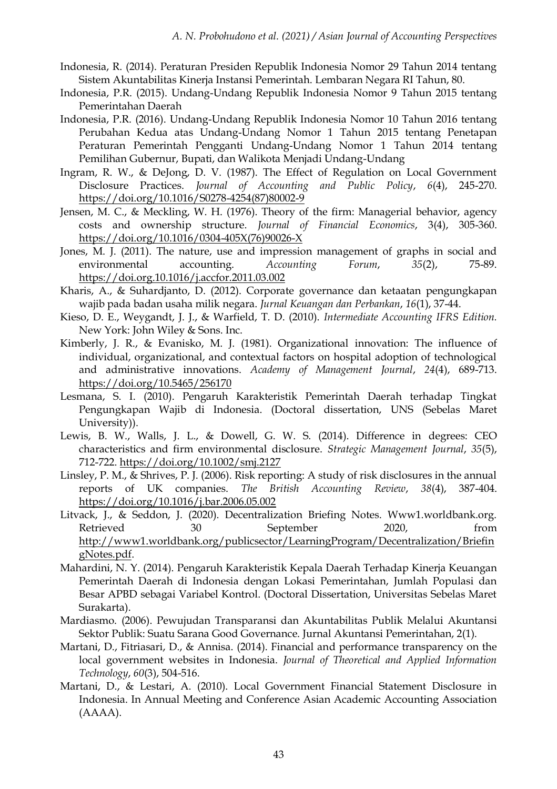- Indonesia, R. (2014). Peraturan Presiden Republik Indonesia Nomor 29 Tahun 2014 tentang Sistem Akuntabilitas Kinerja Instansi Pemerintah. Lembaran Negara RI Tahun, 80.
- Indonesia, P.R. (2015). Undang-Undang Republik Indonesia Nomor 9 Tahun 2015 tentang Pemerintahan Daerah
- Indonesia, P.R. (2016). Undang-Undang Republik Indonesia Nomor 10 Tahun 2016 tentang Perubahan Kedua atas Undang-Undang Nomor 1 Tahun 2015 tentang Penetapan Peraturan Pemerintah Pengganti Undang-Undang Nomor 1 Tahun 2014 tentang Pemilihan Gubernur, Bupati, dan Walikota Menjadi Undang-Undang
- Ingram, R. W., & DeJong, D. V. (1987). The Effect of Regulation on Local Government Disclosure Practices. *Journal of Accounting and Public Policy*, *6*(4), 245-270. [https://doi.org/10.1016/S0278-4254\(87\)80002-9](https://doi.org/10.1016/S0278-4254(87)80002-9)
- Jensen, M. C., & Meckling, W. H. (1976). Theory of the firm: Managerial behavior, agency costs and ownership structure. *Journal of Financial Economics*, 3(4), 305-360. [https://doi.org/10.1016/0304-405X\(76\)90026-X](https://doi.org/10.1016/0304-405X(76)90026-X)
- Jones, M. J. (2011). The nature, use and impression management of graphs in social and environmental accounting. *Accounting Forum*, *35*(2), 75-89. <https://doi.org.10.1016/j.accfor.2011.03.002>
- Kharis, A., & Suhardjanto, D. (2012). Corporate governance dan ketaatan pengungkapan wajib pada badan usaha milik negara. *Jurnal Keuangan dan Perbankan*, *16*(1), 37-44.
- Kieso, D. E., Weygandt, J. J., & Warfield, T. D. (2010). *Intermediate Accounting IFRS Edition.* New York: John Wiley & Sons. Inc.
- Kimberly, J. R., & Evanisko, M. J. (1981). Organizational innovation: The influence of individual, organizational, and contextual factors on hospital adoption of technological and administrative innovations. *Academy of Management Journal*, *24*(4), 689-713. <https://doi.org/10.5465/256170>
- Lesmana, S. I. (2010). Pengaruh Karakteristik Pemerintah Daerah terhadap Tingkat Pengungkapan Wajib di Indonesia. (Doctoral dissertation, UNS (Sebelas Maret University)).
- Lewis, B. W., Walls, J. L., & Dowell, G. W. S. (2014). Difference in degrees: CEO characteristics and firm environmental disclosure. *Strategic Management Journal*, *35*(5), 712-722[. https://doi.org/10.1002/smj.2127](https://doi.org/10.1002/smj.2127)
- Linsley, P. M., & Shrives, P. J. (2006). Risk reporting: A study of risk disclosures in the annual reports of UK companies. *The British Accounting Review*, *38*(4), 387-404. <https://doi.org/10.1016/j.bar.2006.05.002>
- Litvack, J., & Seddon, J. (2020). Decentralization Briefing Notes. Www1.worldbank.org. Retrieved 30 September 2020, from [http://www1.worldbank.org/publicsector/LearningProgram/Decentralization/Briefin](http://www1.worldbank.org/publicsector/LearningProgram/Decentralization/BriefingNotes.pdf) [gNotes.pdf.](http://www1.worldbank.org/publicsector/LearningProgram/Decentralization/BriefingNotes.pdf)
- Mahardini, N. Y. (2014). Pengaruh Karakteristik Kepala Daerah Terhadap Kinerja Keuangan Pemerintah Daerah di Indonesia dengan Lokasi Pemerintahan, Jumlah Populasi dan Besar APBD sebagai Variabel Kontrol. (Doctoral Dissertation, Universitas Sebelas Maret Surakarta).
- Mardiasmo. (2006). Pewujudan Transparansi dan Akuntabilitas Publik Melalui Akuntansi Sektor Publik: Suatu Sarana Good Governance. Jurnal Akuntansi Pemerintahan, 2(1).
- Martani, D., Fitriasari, D., & Annisa. (2014). Financial and performance transparency on the local government websites in Indonesia. *Journal of Theoretical and Applied Information Technology*, *60*(3), 504-516.
- Martani, D., & Lestari, A. (2010). Local Government Financial Statement Disclosure in Indonesia. In Annual Meeting and Conference Asian Academic Accounting Association (AAAA).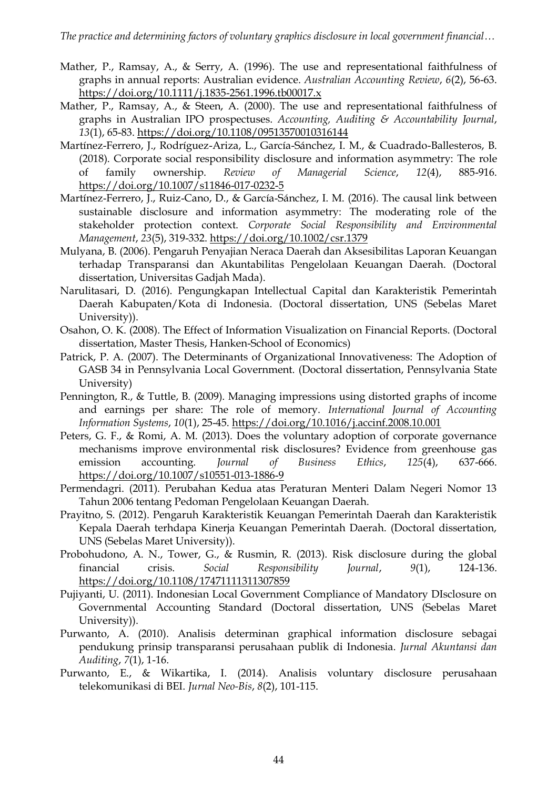- Mather, P., Ramsay, A., & Serry, A. (1996). The use and representational faithfulness of graphs in annual reports: Australian evidence. *Australian Accounting Review*, *6*(2), 56-63. <https://doi.org/10.1111/j.1835-2561.1996.tb00017.x>
- Mather, P., Ramsay, A., & Steen, A. (2000). The use and representational faithfulness of graphs in Australian IPO prospectuses. *Accounting, Auditing & Accountability Journal*, *13*(1), 65-83[. https://doi.org/10.1108/09513570010316144](https://doi.org/10.1108/09513570010316144)
- Martínez-Ferrero, J., Rodríguez-Ariza, L., García-Sánchez, I. M., & Cuadrado-Ballesteros, B. (2018). Corporate social responsibility disclosure and information asymmetry: The role of family ownership. *Review of Managerial Science*, *12*(4), 885-916. <https://doi.org/10.1007/s11846-017-0232-5>
- Martínez-Ferrero, J., Ruiz-Cano, D., & García-Sánchez, I. M. (2016). The causal link between sustainable disclosure and information asymmetry: The moderating role of the stakeholder protection context. *Corporate Social Responsibility and Environmental Management*, *23*(5), 319-332[. https://doi.org/10.1002/csr.1379](https://doi.org/10.1002/csr.1379)
- Mulyana, B. (2006). Pengaruh Penyajian Neraca Daerah dan Aksesibilitas Laporan Keuangan terhadap Transparansi dan Akuntabilitas Pengelolaan Keuangan Daerah. (Doctoral dissertation, Universitas Gadjah Mada).
- Narulitasari, D. (2016). Pengungkapan Intellectual Capital dan Karakteristik Pemerintah Daerah Kabupaten/Kota di Indonesia. (Doctoral dissertation, UNS (Sebelas Maret University)).
- Osahon, O. K. (2008). The Effect of Information Visualization on Financial Reports. (Doctoral dissertation, Master Thesis, Hanken-School of Economics)
- Patrick, P. A. (2007). The Determinants of Organizational Innovativeness: The Adoption of GASB 34 in Pennsylvania Local Government. (Doctoral dissertation, Pennsylvania State University)
- Pennington, R., & Tuttle, B. (2009). Managing impressions using distorted graphs of income and earnings per share: The role of memory. *International Journal of Accounting Information Systems*, *10*(1), 25-45.<https://doi.org/10.1016/j.accinf.2008.10.001>
- Peters, G. F., & Romi, A. M. (2013). Does the voluntary adoption of corporate governance mechanisms improve environmental risk disclosures? Evidence from greenhouse gas emission accounting. *Journal of Business Ethics*, *125*(4), 637-666. <https://doi.org/10.1007/s10551-013-1886-9>
- Permendagri. (2011). Perubahan Kedua atas Peraturan Menteri Dalam Negeri Nomor 13 Tahun 2006 tentang Pedoman Pengelolaan Keuangan Daerah.
- Prayitno, S. (2012). Pengaruh Karakteristik Keuangan Pemerintah Daerah dan Karakteristik Kepala Daerah terhdapa Kinerja Keuangan Pemerintah Daerah. (Doctoral dissertation, UNS (Sebelas Maret University)).
- Probohudono, A. N., Tower, G., & Rusmin, R. (2013). Risk disclosure during the global financial crisis. *Social Responsibility Journal*, *9*(1), 124-136. <https://doi.org/10.1108/17471111311307859>
- Pujiyanti, U. (2011). Indonesian Local Government Compliance of Mandatory DIsclosure on Governmental Accounting Standard (Doctoral dissertation, UNS (Sebelas Maret University)).
- Purwanto, A. (2010). Analisis determinan graphical information disclosure sebagai pendukung prinsip transparansi perusahaan publik di Indonesia. *Jurnal Akuntansi dan Auditing*, *7*(1), 1-16.
- Purwanto, E., & Wikartika, I. (2014). Analisis voluntary disclosure perusahaan telekomunikasi di BEI. *Jurnal Neo-Bis*, *8*(2), 101-115.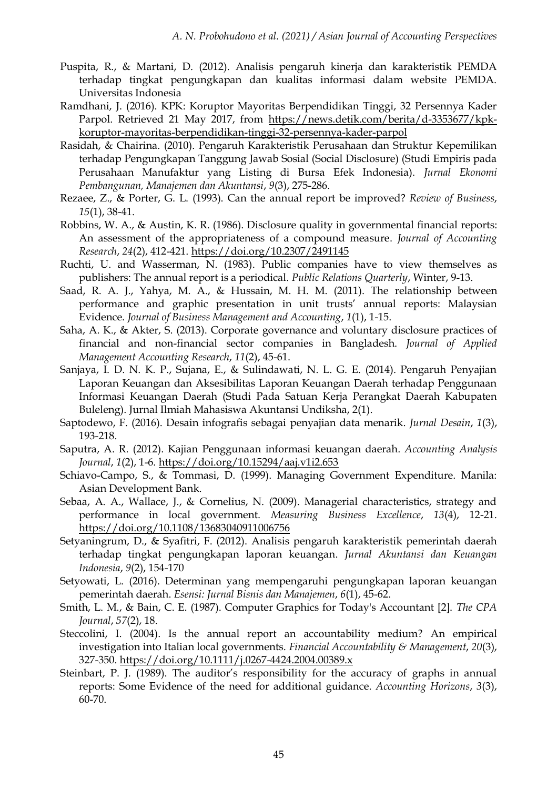- Puspita, R., & Martani, D. (2012). Analisis pengaruh kinerja dan karakteristik PEMDA terhadap tingkat pengungkapan dan kualitas informasi dalam website PEMDA. Universitas Indonesia
- Ramdhani, J. (2016). KPK: Koruptor Mayoritas Berpendidikan Tinggi, 32 Persennya Kader Parpol. Retrieved 21 May 2017, from [https://news.detik.com/berita/d-3353677/kpk](https://news.detik.com/berita/d-3353677/kpk-koruptor-mayoritas-berpendidikan-tinggi-32-persennya-kader-parpol)[koruptor-mayoritas-berpendidikan-tinggi-32-persennya-kader-parpol](https://news.detik.com/berita/d-3353677/kpk-koruptor-mayoritas-berpendidikan-tinggi-32-persennya-kader-parpol)
- Rasidah, & Chairina. (2010). Pengaruh Karakteristik Perusahaan dan Struktur Kepemilikan terhadap Pengungkapan Tanggung Jawab Sosial (Social Disclosure) (Studi Empiris pada Perusahaan Manufaktur yang Listing di Bursa Efek Indonesia). *Jurnal Ekonomi Pembangunan, Manajemen dan Akuntansi*, *9*(3), 275-286.
- Rezaee, Z., & Porter, G. L. (1993). Can the annual report be improved? *Review of Business*, *15*(1), 38-41.
- Robbins, W. A., & Austin, K. R. (1986). Disclosure quality in governmental financial reports: An assessment of the appropriateness of a compound measure. *Journal of Accounting Research*, *24*(2), 412-421[. https://doi.org/10.2307/2491145](https://doi.org/10.2307/2491145)
- Ruchti, U. and Wasserman, N. (1983). Public companies have to view themselves as publishers: The annual report is a periodical. *Public Relations Quarterly*, Winter, 9-13.
- Saad, R. A. J., Yahya, M. A., & Hussain, M. H. M. (2011). The relationship between performance and graphic presentation in unit trusts' annual reports: Malaysian Evidence. *Journal of Business Management and Accounting*, *1*(1), 1-15.
- Saha, A. K., & Akter, S. (2013). Corporate governance and voluntary disclosure practices of financial and non-financial sector companies in Bangladesh. *Journal of Applied Management Accounting Research*, *11*(2), 45-61.
- Sanjaya, I. D. N. K. P., Sujana, E., & Sulindawati, N. L. G. E. (2014). Pengaruh Penyajian Laporan Keuangan dan Aksesibilitas Laporan Keuangan Daerah terhadap Penggunaan Informasi Keuangan Daerah (Studi Pada Satuan Kerja Perangkat Daerah Kabupaten Buleleng). Jurnal Ilmiah Mahasiswa Akuntansi Undiksha, 2(1).
- Saptodewo, F. (2016). Desain infografis sebagai penyajian data menarik. *Jurnal Desain*, *1*(3), 193-218.
- Saputra, A. R. (2012). Kajian Penggunaan informasi keuangan daerah. *Accounting Analysis Journal*, *1*(2), 1-6[. https://doi.org/10.15294/aaj.v1i2.653](https://doi.org/10.15294/aaj.v1i2.653)
- Schiavo-Campo, S., & Tommasi, D. (1999). Managing Government Expenditure. Manila: Asian Development Bank.
- Sebaa, A. A., Wallace, J., & Cornelius, N. (2009). Managerial characteristics, strategy and performance in local government. *Measuring Business Excellence*, *13*(4), 12-21. <https://doi.org/10.1108/13683040911006756>
- Setyaningrum, D., & Syafitri, F. (2012). Analisis pengaruh karakteristik pemerintah daerah terhadap tingkat pengungkapan laporan keuangan. *Jurnal Akuntansi dan Keuangan Indonesia*, *9*(2), 154-170
- Setyowati, L. (2016). Determinan yang mempengaruhi pengungkapan laporan keuangan pemerintah daerah. *Esensi: Jurnal Bisnis dan Manajemen*, *6*(1), 45-62.
- Smith, L. M., & Bain, C. E. (1987). Computer Graphics for Today's Accountant [2]. *The CPA Journal*, *57*(2), 18.
- Steccolini, I. (2004). Is the annual report an accountability medium? An empirical investigation into Italian local governments. *Financial Accountability & Management*, *20*(3), 327-350[. https://doi.org/10.1111/j.0267-4424.2004.00389.x](https://doi.org/10.1111/j.0267-4424.2004.00389.x)
- Steinbart, P. J. (1989). The auditor's responsibility for the accuracy of graphs in annual reports: Some Evidence of the need for additional guidance. *Accounting Horizons*, *3*(3), 60-70.